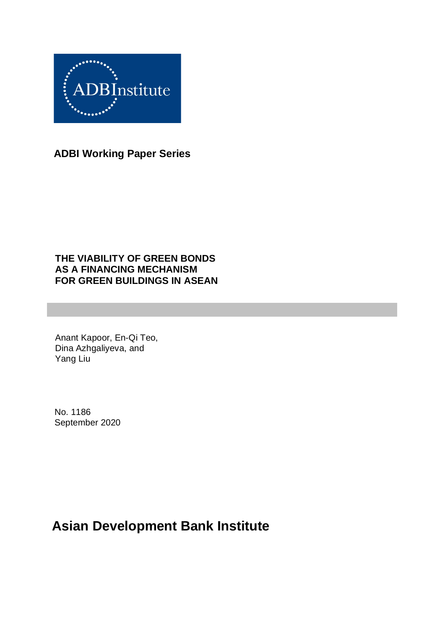

**ADBI Working Paper Series**

### **THE VIABILITY OF GREEN BONDS AS A FINANCING MECHANISM FOR GREEN BUILDINGS IN ASEAN**

Anant Kapoor, En-Qi Teo, Dina Azhgaliyeva, and Yang Liu

No. 1186 September 2020

# **Asian Development Bank Institute**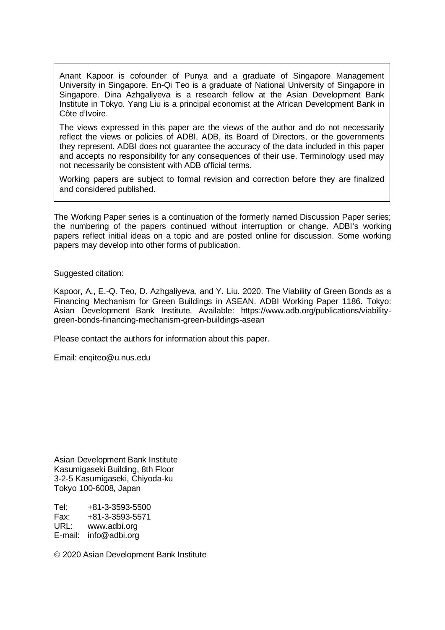Anant Kapoor is cofounder of Punya and a graduate of Singapore Management University in Singapore. En-Qi Teo is a graduate of National University of Singapore in Singapore. Dina Azhgaliyeva is a research fellow at the Asian Development Bank Institute in Tokyo. Yang Liu is a principal economist at the African Development Bank in Côte d'Ivoire.

The views expressed in this paper are the views of the author and do not necessarily reflect the views or policies of ADBI, ADB, its Board of Directors, or the governments they represent. ADBI does not guarantee the accuracy of the data included in this paper and accepts no responsibility for any consequences of their use. Terminology used may not necessarily be consistent with ADB official terms.

Working papers are subject to formal revision and correction before they are finalized and considered published.

The Working Paper series is a continuation of the formerly named Discussion Paper series; the numbering of the papers continued without interruption or change. ADBI's working papers reflect initial ideas on a topic and are posted online for discussion. Some working papers may develop into other forms of publication.

Suggested citation:

Kapoor, A., E.-Q. Teo, D. Azhgaliyeva, and Y. Liu. 2020. The Viability of Green Bonds as a Financing Mechanism for Green Buildings in ASEAN. ADBI Working Paper 1186. Tokyo: Asian Development Bank Institute. Available: https://www.adb.org/publications/viabilitygreen-bonds-financing-mechanism-green-buildings-asean

Please contact the authors for information about this paper.

Email: enqiteo@u.nus.edu

Asian Development Bank Institute Kasumigaseki Building, 8th Floor 3-2-5 Kasumigaseki, Chiyoda-ku Tokyo 100-6008, Japan

Tel: +81-3-3593-5500 Fax: +81-3-3593-5571 URL: www.adbi.org E-mail: info@adbi.org

© 2020 Asian Development Bank Institute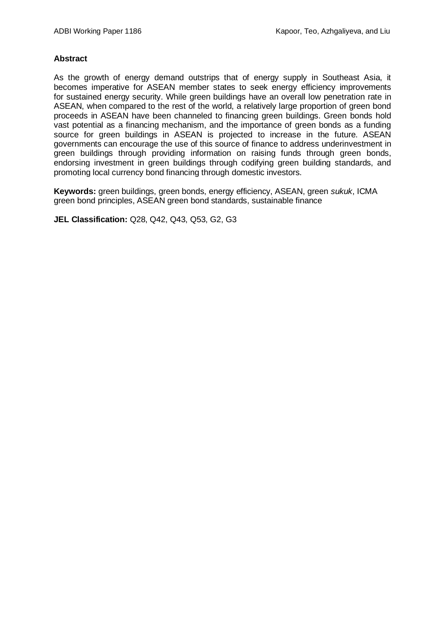#### **Abstract**

As the growth of energy demand outstrips that of energy supply in Southeast Asia, it becomes imperative for ASEAN member states to seek energy efficiency improvements for sustained energy security. While green buildings have an overall low penetration rate in ASEAN, when compared to the rest of the world, a relatively large proportion of green bond proceeds in ASEAN have been channeled to financing green buildings. Green bonds hold vast potential as a financing mechanism, and the importance of green bonds as a funding source for green buildings in ASEAN is projected to increase in the future. ASEAN governments can encourage the use of this source of finance to address underinvestment in green buildings through providing information on raising funds through green bonds, endorsing investment in green buildings through codifying green building standards, and promoting local currency bond financing through domestic investors.

**Keywords:** green buildings, green bonds, energy efficiency, ASEAN, green *sukuk*, ICMA green bond principles, ASEAN green bond standards, sustainable finance

**JEL Classification:** Q28, Q42, Q43, Q53, G2, G3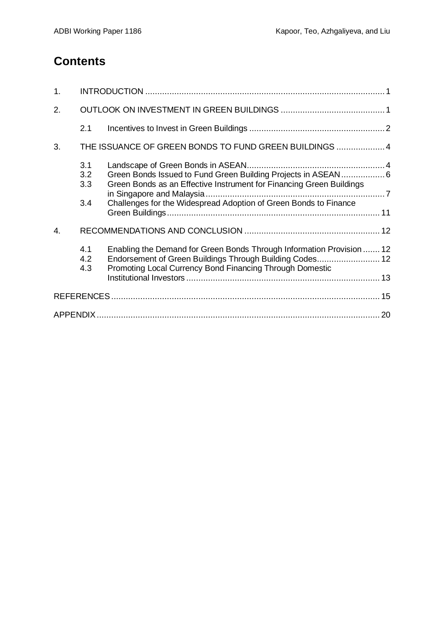## **Contents**

| 1. |                          |                                                                                                                                                                                                           |  |  |  |  |  |
|----|--------------------------|-----------------------------------------------------------------------------------------------------------------------------------------------------------------------------------------------------------|--|--|--|--|--|
| 2. |                          |                                                                                                                                                                                                           |  |  |  |  |  |
|    | 2.1                      |                                                                                                                                                                                                           |  |  |  |  |  |
| 3. |                          | THE ISSUANCE OF GREEN BONDS TO FUND GREEN BUILDINGS  4                                                                                                                                                    |  |  |  |  |  |
|    | 3.1<br>3.2<br>3.3<br>3.4 | Green Bonds Issued to Fund Green Building Projects in ASEAN 6<br>Green Bonds as an Effective Instrument for Financing Green Buildings<br>Challenges for the Widespread Adoption of Green Bonds to Finance |  |  |  |  |  |
| 4. |                          |                                                                                                                                                                                                           |  |  |  |  |  |
|    | 4.1<br>4.2<br>4.3        | Enabling the Demand for Green Bonds Through Information Provision  12<br>Endorsement of Green Buildings Through Building Codes 12<br>Promoting Local Currency Bond Financing Through Domestic             |  |  |  |  |  |
|    |                          |                                                                                                                                                                                                           |  |  |  |  |  |
|    |                          |                                                                                                                                                                                                           |  |  |  |  |  |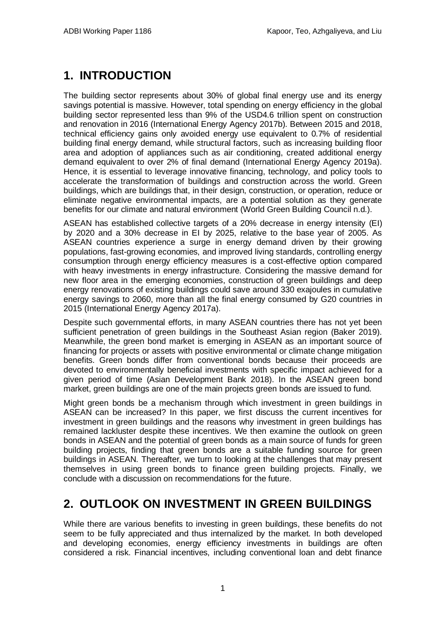# <span id="page-4-0"></span>**1. INTRODUCTION**

The building sector represents about 30% of global final energy use and its energy savings potential is massive. However, total spending on energy efficiency in the global building sector represented less than 9% of the USD4.6 trillion spent on construction and renovation in 2016 (International Energy Agency 2017b). Between 2015 and 2018, technical efficiency gains only avoided energy use equivalent to 0.7% of residential building final energy demand, while structural factors, such as increasing building floor area and adoption of appliances such as air conditioning, created additional energy demand equivalent to over 2% of final demand (International Energy Agency 2019a). Hence, it is essential to leverage innovative financing, technology, and policy tools to accelerate the transformation of buildings and construction across the world. Green buildings, which are buildings that, in their design, construction, or operation, reduce or eliminate negative environmental impacts, are a potential solution as they generate benefits for our climate and natural environment (World Green Building Council n.d.).

ASEAN has established collective targets of a 20% decrease in energy intensity (EI) by 2020 and a 30% decrease in EI by 2025, relative to the base year of 2005. As ASEAN countries experience a surge in energy demand driven by their growing populations, fast-growing economies, and improved living standards, controlling energy consumption through energy efficiency measures is a cost-effective option compared with heavy investments in energy infrastructure. Considering the massive demand for new floor area in the emerging economies, construction of green buildings and deep energy renovations of existing buildings could save around 330 exajoules in cumulative energy savings to 2060, more than all the final energy consumed by G20 countries in 2015 (International Energy Agency 2017a).

Despite such governmental efforts, in many ASEAN countries there has not yet been sufficient penetration of green buildings in the Southeast Asian region (Baker 2019). Meanwhile, the green bond market is emerging in ASEAN as an important source of financing for projects or assets with positive environmental or climate change mitigation benefits. Green bonds differ from conventional bonds because their proceeds are devoted to environmentally beneficial investments with specific impact achieved for a given period of time (Asian Development Bank 2018). In the ASEAN green bond market, green buildings are one of the main projects green bonds are issued to fund.

Might green bonds be a mechanism through which investment in green buildings in ASEAN can be increased? In this paper, we first discuss the current incentives for investment in green buildings and the reasons why investment in green buildings has remained lackluster despite these incentives. We then examine the outlook on green bonds in ASEAN and the potential of green bonds as a main source of funds for green building projects, finding that green bonds are a suitable funding source for green buildings in ASEAN. Thereafter, we turn to looking at the challenges that may present themselves in using green bonds to finance green building projects. Finally, we conclude with a discussion on recommendations for the future.

## <span id="page-4-1"></span>**2. OUTLOOK ON INVESTMENT IN GREEN BUILDINGS**

While there are various benefits to investing in green buildings, these benefits do not seem to be fully appreciated and thus internalized by the market. In both developed and developing economies, energy efficiency investments in buildings are often considered a risk. Financial incentives, including conventional loan and debt finance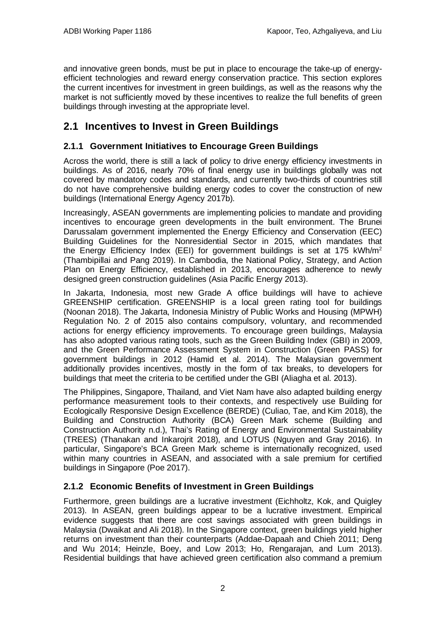and innovative green bonds, must be put in place to encourage the take-up of energyefficient technologies and reward energy conservation practice. This section explores the current incentives for investment in green buildings, as well as the reasons why the market is not sufficiently moved by these incentives to realize the full benefits of green buildings through investing at the appropriate level.

## <span id="page-5-0"></span>**2.1 Incentives to Invest in Green Buildings**

#### **2.1.1 Government Initiatives to Encourage Green Buildings**

Across the world, there is still a lack of policy to drive energy efficiency investments in buildings. As of 2016, nearly 70% of final energy use in buildings globally was not covered by mandatory codes and standards, and currently two-thirds of countries still do not have comprehensive building energy codes to cover the construction of new buildings (International Energy Agency 2017b).

Increasingly, ASEAN governments are implementing policies to mandate and providing incentives to encourage green developments in the built environment. The Brunei Darussalam government implemented the Energy Efficiency and Conservation (EEC) Building Guidelines for the Nonresidential Sector in 2015, which mandates that the Energy Efficiency Index (EEI) for government buildings is set at 175 kWh/m<sup>2</sup> (Thambipillai and Pang 2019). In Cambodia, the National Policy, Strategy, and Action Plan on Energy Efficiency, established in 2013, encourages adherence to newly designed green construction guidelines (Asia Pacific Energy 2013).

In Jakarta, Indonesia, most new Grade A office buildings will have to achieve GREENSHIP certification. GREENSHIP is a local green rating tool for buildings (Noonan 2018). The Jakarta, Indonesia Ministry of Public Works and Housing (MPWH) Regulation No. 2 of 2015 also contains compulsory, voluntary, and recommended actions for energy efficiency improvements. To encourage green buildings, Malaysia has also adopted various rating tools, such as the Green Building Index (GBI) in 2009, and the Green Performance Assessment System in Construction (Green PASS) for government buildings in 2012 (Hamid et al. 2014). The Malaysian government additionally provides incentives, mostly in the form of tax breaks, to developers for buildings that meet the criteria to be certified under the GBI (Aliagha et al. 2013).

The Philippines, Singapore, Thailand, and Viet Nam have also adapted building energy performance measurement tools to their contexts, and respectively use Building for Ecologically Responsive Design Excellence (BERDE) (Culiao, Tae, and Kim 2018), the Building and Construction Authority (BCA) Green Mark scheme (Building and Construction Authority n.d.), Thai's Rating of Energy and Environmental Sustainability (TREES) (Thanakan and Inkarojrit 2018), and LOTUS (Nguyen and Gray 2016). In particular, Singapore's BCA Green Mark scheme is internationally recognized, used within many countries in ASEAN, and associated with a sale premium for certified buildings in Singapore (Poe 2017).

#### **2.1.2 Economic Benefits of Investment in Green Buildings**

Furthermore, green buildings are a lucrative investment (Eichholtz, Kok, and Quigley 2013). In ASEAN, green buildings appear to be a lucrative investment. Empirical evidence suggests that there are cost savings associated with green buildings in Malaysia (Dwaikat and Ali 2018). In the Singapore context, green buildings yield higher returns on investment than their counterparts (Addae-Dapaah and Chieh 2011; Deng and Wu 2014; Heinzle, Boey, and Low 2013; Ho, Rengarajan, and Lum 2013). Residential buildings that have achieved green certification also command a premium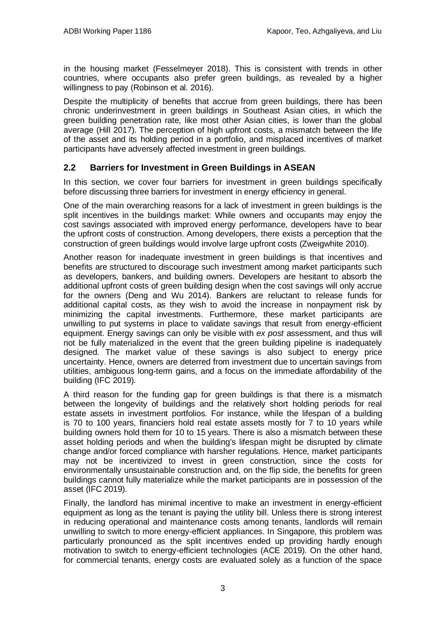in the housing market (Fesselmeyer 2018). This is consistent with trends in other countries, where occupants also prefer green buildings, as revealed by a higher willingness to pay (Robinson et al. 2016).

Despite the multiplicity of benefits that accrue from green buildings, there has been chronic underinvestment in green buildings in Southeast Asian cities, in which the green building penetration rate, like most other Asian cities, is lower than the global average (Hill 2017). The perception of high upfront costs, a mismatch between the life of the asset and its holding period in a portfolio, and misplaced incentives of market participants have adversely affected investment in green buildings.

#### **2.2 Barriers for Investment in Green Buildings in ASEAN**

In this section, we cover four barriers for investment in green buildings specifically before discussing three barriers for investment in energy efficiency in general.

One of the main overarching reasons for a lack of investment in green buildings is the split incentives in the buildings market: While owners and occupants may enjoy the cost savings associated with improved energy performance, developers have to bear the upfront costs of construction. Among developers, there exists a perception that the construction of green buildings would involve large upfront costs (Zweigwhite 2010).

Another reason for inadequate investment in green buildings is that incentives and benefits are structured to discourage such investment among market participants such as developers, bankers, and building owners. Developers are hesitant to absorb the additional upfront costs of green building design when the cost savings will only accrue for the owners (Deng and Wu 2014). Bankers are reluctant to release funds for additional capital costs, as they wish to avoid the increase in nonpayment risk by minimizing the capital investments. Furthermore, these market participants are unwilling to put systems in place to validate savings that result from energy-efficient equipment. Energy savings can only be visible with *ex post* assessment, and thus will not be fully materialized in the event that the green building pipeline is inadequately designed. The market value of these savings is also subject to energy price uncertainty. Hence, owners are deterred from investment due to uncertain savings from utilities, ambiguous long-term gains, and a focus on the immediate affordability of the building (IFC 2019).

A third reason for the funding gap for green buildings is that there is a mismatch between the longevity of buildings and the relatively short holding periods for real estate assets in investment portfolios. For instance, while the lifespan of a building is 70 to 100 years, financiers hold real estate assets mostly for 7 to 10 years while building owners hold them for 10 to 15 years. There is also a mismatch between these asset holding periods and when the building's lifespan might be disrupted by climate change and/or forced compliance with harsher regulations. Hence, market participants may not be incentivized to invest in green construction, since the costs for environmentally unsustainable construction and, on the flip side, the benefits for green buildings cannot fully materialize while the market participants are in possession of the asset (IFC 2019).

Finally, the landlord has minimal incentive to make an investment in energy-efficient equipment as long as the tenant is paying the utility bill. Unless there is strong interest in reducing operational and maintenance costs among tenants, landlords will remain unwilling to switch to more energy-efficient appliances. In Singapore, this problem was particularly pronounced as the split incentives ended up providing hardly enough motivation to switch to energy-efficient technologies (ACE 2019). On the other hand, for commercial tenants, energy costs are evaluated solely as a function of the space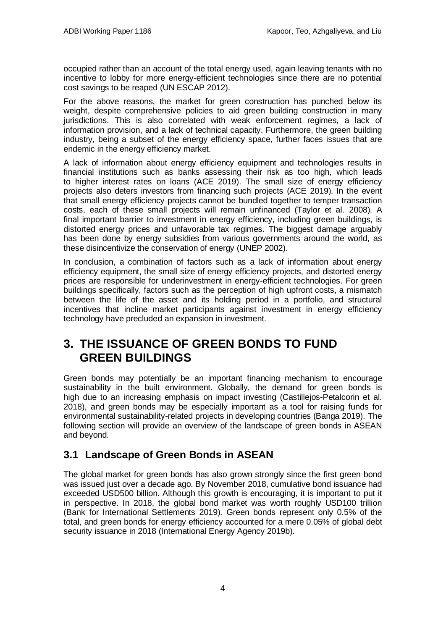occupied rather than an account of the total energy used, again leaving tenants with no incentive to lobby for more energy-efficient technologies since there are no potential cost savings to be reaped (UN ESCAP 2012).

For the above reasons, the market for green construction has punched below its weight, despite comprehensive policies to aid green building construction in many jurisdictions. This is also correlated with weak enforcement regimes, a lack of information provision, and a lack of technical capacity. Furthermore, the green building industry, being a subset of the energy efficiency space, further faces issues that are endemic in the energy efficiency market.

A lack of information about energy efficiency equipment and technologies results in financial institutions such as banks assessing their risk as too high, which leads to higher interest rates on loans (ACE 2019). The small size of energy efficiency projects also deters investors from financing such projects (ACE 2019). In the event that small energy efficiency projects cannot be bundled together to temper transaction costs, each of these small projects will remain unfinanced (Taylor et al. 2008). A final important barrier to investment in energy efficiency, including green buildings, is distorted energy prices and unfavorable tax regimes. The biggest damage arguably has been done by energy subsidies from various governments around the world, as these disincentivize the conservation of energy (UNEP 2002).

In conclusion, a combination of factors such as a lack of information about energy efficiency equipment, the small size of energy efficiency projects, and distorted energy prices are responsible for underinvestment in energy-efficient technologies. For green buildings specifically, factors such as the perception of high upfront costs, a mismatch between the life of the asset and its holding period in a portfolio, and structural incentives that incline market participants against investment in energy efficiency technology have precluded an expansion in investment.

## <span id="page-7-0"></span>**3. THE ISSUANCE OF GREEN BONDS TO FUND GREEN BUILDINGS**

Green bonds may potentially be an important financing mechanism to encourage sustainability in the built environment. Globally, the demand for green bonds is high due to an increasing emphasis on impact investing (Castillejos-Petalcorin et al. 2018), and green bonds may be especially important as a tool for raising funds for environmental sustainability-related projects in developing countries (Banga 2019). The following section will provide an overview of the landscape of green bonds in ASEAN and beyond.

### <span id="page-7-1"></span>**3.1 Landscape of Green Bonds in ASEAN**

The global market for green bonds has also grown strongly since the first green bond was issued just over a decade ago. By November 2018, cumulative bond issuance had exceeded USD500 billion. Although this growth is encouraging, it is important to put it in perspective. In 2018, the global bond market was worth roughly USD100 trillion (Bank for International Settlements 2019). Green bonds represent only 0.5% of the total, and green bonds for energy efficiency accounted for a mere 0.05% of global debt security issuance in 2018 (International Energy Agency 2019b).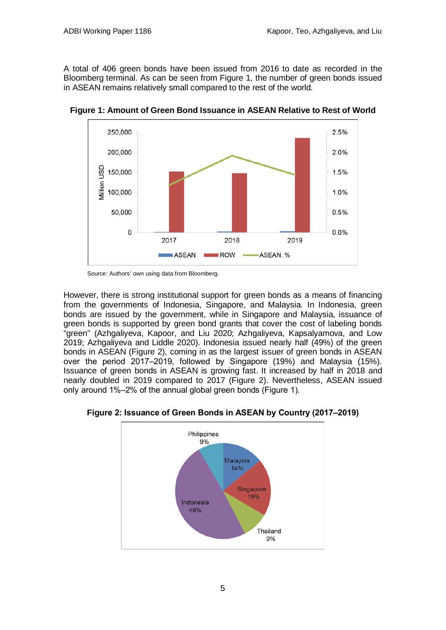A total of 406 green bonds have been issued from 2016 to date as recorded in the Bloomberg terminal. As can be seen from Figure 1, the number of green bonds issued in ASEAN remains relatively small compared to the rest of the world.



**Figure 1: Amount of Green Bond Issuance in ASEAN Relative to Rest of World**

Source: Authors' own using data from Bloomberg.

However, there is strong institutional support for green bonds as a means of financing from the governments of Indonesia, Singapore, and Malaysia. In Indonesia, green bonds are issued by the government, while in Singapore and Malaysia, issuance of green bonds is supported by green bond grants that cover the cost of labeling bonds "green" (Azhgaliyeva, Kapoor, and Liu 2020; Azhgaliyeva, Kapsalyamova, and Low 2019; Azhgaliyeva and Liddle 2020). Indonesia issued nearly half (49%) of the green bonds in ASEAN (Figure 2), coming in as the largest issuer of green bonds in ASEAN over the period 2017–2019, followed by Singapore (19%) and Malaysia (15%). Issuance of green bonds in ASEAN is growing fast. It increased by half in 2018 and nearly doubled in 2019 compared to 2017 (Figure 2). Nevertheless, ASEAN issued only around 1%‒2% of the annual global green bonds (Figure 1).



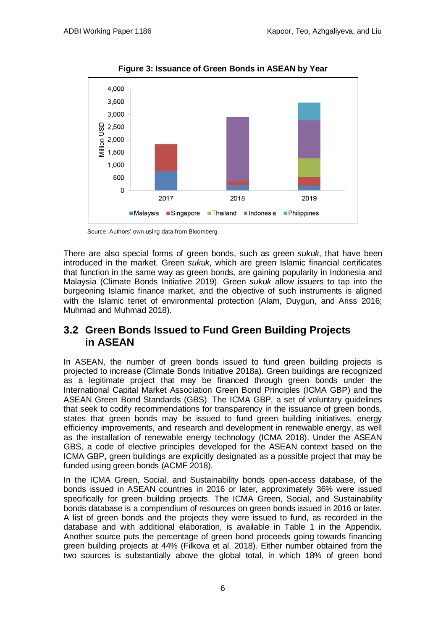

**Figure 3: Issuance of Green Bonds in ASEAN by Year**

Source: Authors' own using data from Bloomberg.

There are also special forms of green bonds, such as green *sukuk*, that have been introduced in the market. Green *sukuk*, which are green Islamic financial certificates that function in the same way as green bonds, are gaining popularity in Indonesia and Malaysia (Climate Bonds Initiative 2019). Green *sukuk* allow issuers to tap into the burgeoning Islamic finance market, and the objective of such instruments is aligned with the Islamic tenet of environmental protection (Alam, Duygun, and Ariss 2016; Muhmad and Muhmad 2018).

### <span id="page-9-0"></span>**3.2 Green Bonds Issued to Fund Green Building Projects in ASEAN**

In ASEAN, the number of green bonds issued to fund green building projects is projected to increase (Climate Bonds Initiative 2018a). Green buildings are recognized as a legitimate project that may be financed through green bonds under the International Capital Market Association Green Bond Principles (ICMA GBP) and the ASEAN Green Bond Standards (GBS). The ICMA GBP, a set of voluntary guidelines that seek to codify recommendations for transparency in the issuance of green bonds, states that green bonds may be issued to fund green building initiatives, energy efficiency improvements, and research and development in renewable energy, as well as the installation of renewable energy technology (ICMA 2018). Under the ASEAN GBS, a code of elective principles developed for the ASEAN context based on the ICMA GBP, green buildings are explicitly designated as a possible project that may be funded using green bonds (ACMF 2018).

In the ICMA Green, Social, and Sustainability bonds open-access database, of the bonds issued in ASEAN countries in 2016 or later, approximately 36% were issued specifically for green building projects. The ICMA Green, Social, and Sustainability bonds database is a compendium of resources on green bonds issued in 2016 or later. A list of green bonds and the projects they were issued to fund, as recorded in the database and with additional elaboration, is available in Table 1 in the Appendix. Another source puts the percentage of green bond proceeds going towards financing green building projects at 44% (Filkova et al. 2018). Either number obtained from the two sources is substantially above the global total, in which 18% of green bond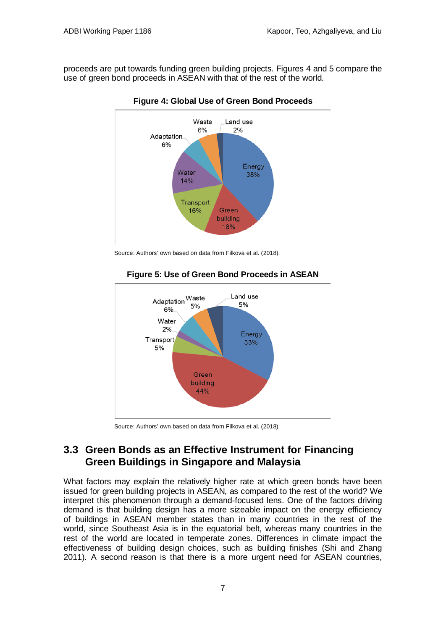proceeds are put towards funding green building projects. Figures 4 and 5 compare the use of green bond proceeds in ASEAN with that of the rest of the world.



**Figure 4: Global Use of Green Bond Proceeds**

Source: Authors' own based on data from Filkova et al. (2018).



#### **Figure 5: Use of Green Bond Proceeds in ASEAN**

Source: Authors' own based on data from Filkova et al. (2018).

## <span id="page-10-0"></span>**3.3 Green Bonds as an Effective Instrument for Financing Green Buildings in Singapore and Malaysia**

What factors may explain the relatively higher rate at which green bonds have been issued for green building projects in ASEAN, as compared to the rest of the world? We interpret this phenomenon through a demand-focused lens. One of the factors driving demand is that building design has a more sizeable impact on the energy efficiency of buildings in ASEAN member states than in many countries in the rest of the world, since Southeast Asia is in the equatorial belt, whereas many countries in the rest of the world are located in temperate zones. Differences in climate impact the effectiveness of building design choices, such as building finishes (Shi and Zhang 2011). A second reason is that there is a more urgent need for ASEAN countries,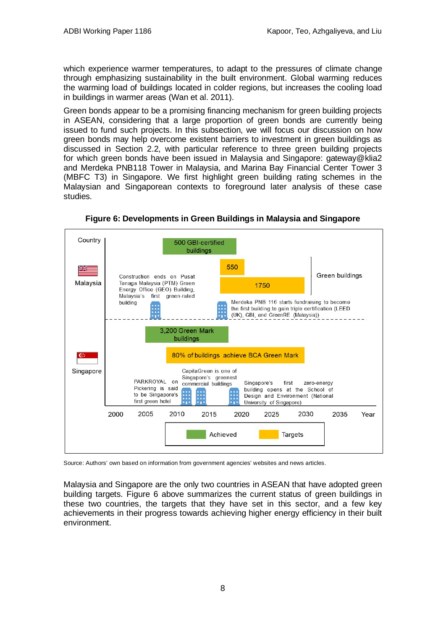which experience warmer temperatures, to adapt to the pressures of climate change through emphasizing sustainability in the built environment. Global warming reduces the warming load of buildings located in colder regions, but increases the cooling load in buildings in warmer areas (Wan et al. 2011).

Green bonds appear to be a promising financing mechanism for green building projects in ASEAN, considering that a large proportion of green bonds are currently being issued to fund such projects. In this subsection, we will focus our discussion on how green bonds may help overcome existent barriers to investment in green buildings as discussed in Section 2.2, with particular reference to three green building projects for which green bonds have been issued in Malaysia and Singapore: gateway@klia2 and Merdeka PNB118 Tower in Malaysia, and Marina Bay Financial Center Tower 3 (MBFC T3) in Singapore. We first highlight green building rating schemes in the Malaysian and Singaporean contexts to foreground later analysis of these case studies.



**Figure 6: Developments in Green Buildings in Malaysia and Singapore**

Source: Authors' own based on information from government agencies' websites and news articles.

Malaysia and Singapore are the only two countries in ASEAN that have adopted green building targets. Figure 6 above summarizes the current status of green buildings in these two countries, the targets that they have set in this sector, and a few key achievements in their progress towards achieving higher energy efficiency in their built environment.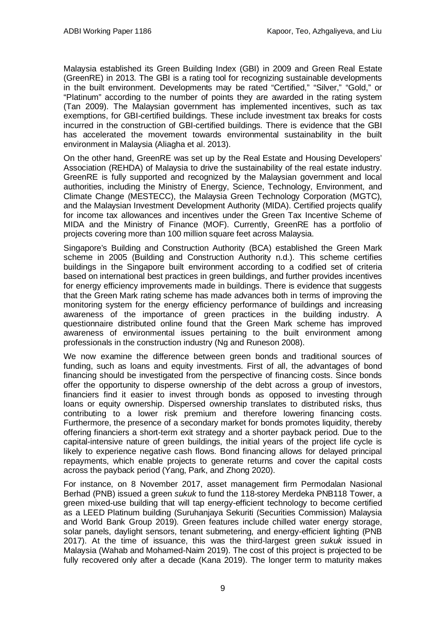Malaysia established its Green Building Index (GBI) in 2009 and Green Real Estate (GreenRE) in 2013. The GBI is a rating tool for recognizing sustainable developments in the built environment. Developments may be rated "Certified," "Silver," "Gold," or "Platinum" according to the number of points they are awarded in the rating system (Tan 2009). The Malaysian government has implemented incentives, such as tax exemptions, for GBI-certified buildings. These include investment tax breaks for costs incurred in the construction of GBI-certified buildings. There is evidence that the GBI has accelerated the movement towards environmental sustainability in the built environment in Malaysia (Aliagha et al. 2013).

On the other hand, GreenRE was set up by the Real Estate and Housing Developers' Association (REHDA) of Malaysia to drive the sustainability of the real estate industry. GreenRE is fully supported and recognized by the Malaysian government and local authorities, including the Ministry of Energy, Science, Technology, Environment, and Climate Change (MESTECC), the Malaysia Green Technology Corporation (MGTC), and the Malaysian Investment Development Authority (MIDA). Certified projects qualify for income tax allowances and incentives under the Green Tax Incentive Scheme of MIDA and the Ministry of Finance (MOF). Currently, GreenRE has a portfolio of projects covering more than 100 million square feet across Malaysia.

Singapore's Building and Construction Authority (BCA) established the Green Mark scheme in 2005 (Building and Construction Authority n.d.). This scheme certifies buildings in the Singapore built environment according to a codified set of criteria based on international best practices in green buildings, and further provides incentives for energy efficiency improvements made in buildings. There is evidence that suggests that the Green Mark rating scheme has made advances both in terms of improving the monitoring system for the energy efficiency performance of buildings and increasing awareness of the importance of green practices in the building industry. A questionnaire distributed online found that the Green Mark scheme has improved awareness of environmental issues pertaining to the built environment among professionals in the construction industry (Ng and Runeson 2008).

We now examine the difference between green bonds and traditional sources of funding, such as loans and equity investments. First of all, the advantages of bond financing should be investigated from the perspective of financing costs. Since bonds offer the opportunity to disperse ownership of the debt across a group of investors, financiers find it easier to invest through bonds as opposed to investing through loans or equity ownership. Dispersed ownership translates to distributed risks, thus contributing to a lower risk premium and therefore lowering financing costs. Furthermore, the presence of a secondary market for bonds promotes liquidity, thereby offering financiers a short-term exit strategy and a shorter payback period. Due to the capital-intensive nature of green buildings, the initial years of the project life cycle is likely to experience negative cash flows. Bond financing allows for delayed principal repayments, which enable projects to generate returns and cover the capital costs across the payback period (Yang, Park, and Zhong 2020).

For instance, on 8 November 2017, asset management firm Permodalan Nasional Berhad (PNB) issued a green *sukuk* to fund the 118-storey Merdeka PNB118 Tower, a green mixed-use building that will tap energy-efficient technology to become certified as a LEED Platinum building (Suruhanjaya Sekuriti (Securities Commission) Malaysia and World Bank Group 2019). Green features include chilled water energy storage, solar panels, daylight sensors, tenant submetering, and energy-efficient lighting (PNB 2017). At the time of issuance, this was the third-largest green *sukuk* issued in Malaysia (Wahab and Mohamed-Naim 2019). The cost of this project is projected to be fully recovered only after a decade (Kana 2019). The longer term to maturity makes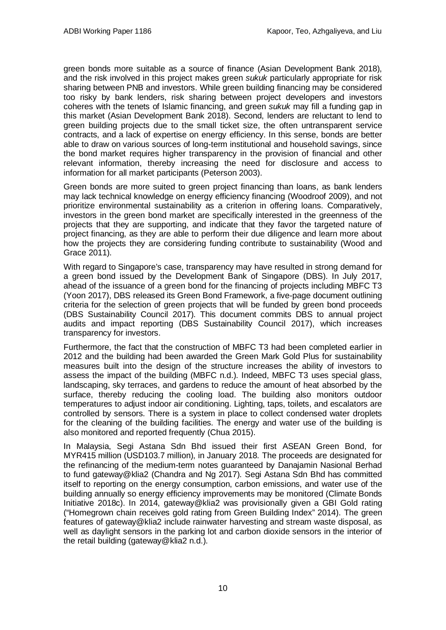green bonds more suitable as a source of finance (Asian Development Bank 2018), and the risk involved in this project makes green *sukuk* particularly appropriate for risk sharing between PNB and investors. While green building financing may be considered too risky by bank lenders, risk sharing between project developers and investors coheres with the tenets of Islamic financing, and green *sukuk* may fill a funding gap in this market (Asian Development Bank 2018). Second, lenders are reluctant to lend to green building projects due to the small ticket size, the often untransparent service contracts, and a lack of expertise on energy efficiency. In this sense, bonds are better able to draw on various sources of long-term institutional and household savings, since the bond market requires higher transparency in the provision of financial and other relevant information, thereby increasing the need for disclosure and access to information for all market participants (Peterson 2003).

Green bonds are more suited to green project financing than loans, as bank lenders may lack technical knowledge on energy efficiency financing (Woodroof 2009), and not prioritize environmental sustainability as a criterion in offering loans. Comparatively, investors in the green bond market are specifically interested in the greenness of the projects that they are supporting, and indicate that they favor the targeted nature of project financing, as they are able to perform their due diligence and learn more about how the projects they are considering funding contribute to sustainability (Wood and Grace 2011).

With regard to Singapore's case, transparency may have resulted in strong demand for a green bond issued by the Development Bank of Singapore (DBS). In July 2017, ahead of the issuance of a green bond for the financing of projects including MBFC T3 (Yoon 2017), DBS released its Green Bond Framework, a five-page document outlining criteria for the selection of green projects that will be funded by green bond proceeds (DBS Sustainability Council 2017). This document commits DBS to annual project audits and impact reporting (DBS Sustainability Council 2017), which increases transparency for investors.

Furthermore, the fact that the construction of MBFC T3 had been completed earlier in 2012 and the building had been awarded the Green Mark Gold Plus for sustainability measures built into the design of the structure increases the ability of investors to assess the impact of the building (MBFC n.d.). Indeed, MBFC T3 uses special glass, landscaping, sky terraces, and gardens to reduce the amount of heat absorbed by the surface, thereby reducing the cooling load. The building also monitors outdoor temperatures to adjust indoor air conditioning. Lighting, taps, toilets, and escalators are controlled by sensors. There is a system in place to collect condensed water droplets for the cleaning of the building facilities. The energy and water use of the building is also monitored and reported frequently (Chua 2015).

In Malaysia, Segi Astana Sdn Bhd issued their first ASEAN Green Bond, for MYR415 million (USD103.7 million), in January 2018. The proceeds are designated for the refinancing of the medium-term notes guaranteed by Danajamin Nasional Berhad to fund gateway@klia2 (Chandra and Ng 2017). Segi Astana Sdn Bhd has committed itself to reporting on the energy consumption, carbon emissions, and water use of the building annually so energy efficiency improvements may be monitored (Climate Bonds Initiative 2018c). In 2014, gateway@klia2 was provisionally given a GBI Gold rating ("Homegrown chain receives gold rating from Green Building Index" 2014). The green features of gateway@klia2 include rainwater harvesting and stream waste disposal, as well as daylight sensors in the parking lot and carbon dioxide sensors in the interior of the retail building (gateway@klia2 n.d.).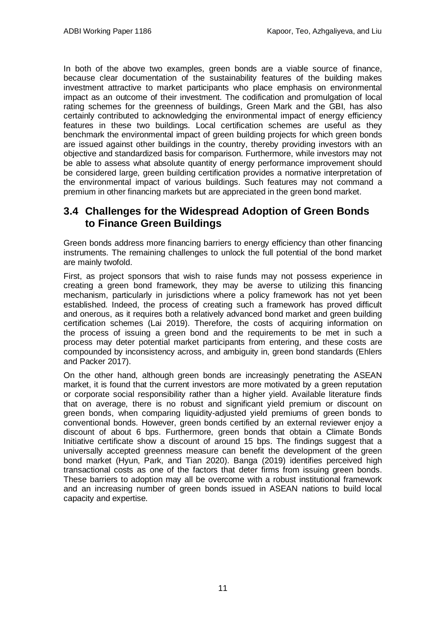In both of the above two examples, green bonds are a viable source of finance, because clear documentation of the sustainability features of the building makes investment attractive to market participants who place emphasis on environmental impact as an outcome of their investment. The codification and promulgation of local rating schemes for the greenness of buildings, Green Mark and the GBI, has also certainly contributed to acknowledging the environmental impact of energy efficiency features in these two buildings. Local certification schemes are useful as they benchmark the environmental impact of green building projects for which green bonds are issued against other buildings in the country, thereby providing investors with an objective and standardized basis for comparison. Furthermore, while investors may not be able to assess what absolute quantity of energy performance improvement should be considered large, green building certification provides a normative interpretation of the environmental impact of various buildings. Such features may not command a premium in other financing markets but are appreciated in the green bond market.

### <span id="page-14-0"></span>**3.4 Challenges for the Widespread Adoption of Green Bonds to Finance Green Buildings**

Green bonds address more financing barriers to energy efficiency than other financing instruments. The remaining challenges to unlock the full potential of the bond market are mainly twofold.

First, as project sponsors that wish to raise funds may not possess experience in creating a green bond framework, they may be averse to utilizing this financing mechanism, particularly in jurisdictions where a policy framework has not yet been established. Indeed, the process of creating such a framework has proved difficult and onerous, as it requires both a relatively advanced bond market and green building certification schemes (Lai 2019). Therefore, the costs of acquiring information on the process of issuing a green bond and the requirements to be met in such a process may deter potential market participants from entering, and these costs are compounded by inconsistency across, and ambiguity in, green bond standards (Ehlers and Packer 2017).

On the other hand, although green bonds are increasingly penetrating the ASEAN market, it is found that the current investors are more motivated by a green reputation or corporate social responsibility rather than a higher yield. Available literature finds that on average, there is no robust and significant yield premium or discount on green bonds, when comparing liquidity-adjusted yield premiums of green bonds to conventional bonds. However, green bonds certified by an external reviewer enjoy a discount of about 6 bps. Furthermore, green bonds that obtain a Climate Bonds Initiative certificate show a discount of around 15 bps. The findings suggest that a universally accepted greenness measure can benefit the development of the green bond market (Hyun, Park, and Tian 2020). Banga (2019) identifies perceived high transactional costs as one of the factors that deter firms from issuing green bonds. These barriers to adoption may all be overcome with a robust institutional framework and an increasing number of green bonds issued in ASEAN nations to build local capacity and expertise.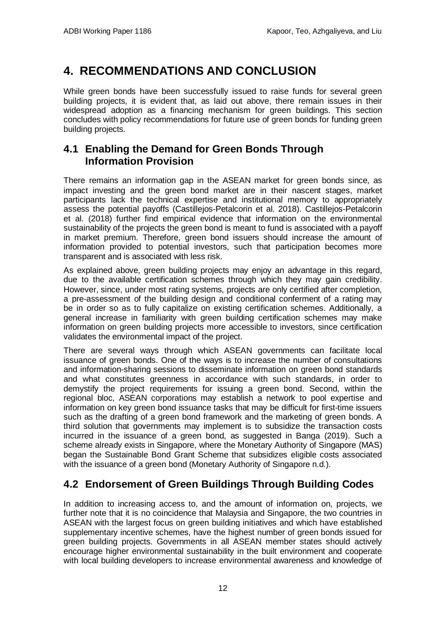# <span id="page-15-0"></span>**4. RECOMMENDATIONS AND CONCLUSION**

While green bonds have been successfully issued to raise funds for several green building projects, it is evident that, as laid out above, there remain issues in their widespread adoption as a financing mechanism for green buildings. This section concludes with policy recommendations for future use of green bonds for funding green building projects.

### <span id="page-15-1"></span>**4.1 Enabling the Demand for Green Bonds Through Information Provision**

There remains an information gap in the ASEAN market for green bonds since, as impact investing and the green bond market are in their nascent stages, market participants lack the technical expertise and institutional memory to appropriately assess the potential payoffs (Castillejos-Petalcorin et al. 2018). Castillejos-Petalcorin et al. (2018) further find empirical evidence that information on the environmental sustainability of the projects the green bond is meant to fund is associated with a payoff in market premium. Therefore, green bond issuers should increase the amount of information provided to potential investors, such that participation becomes more transparent and is associated with less risk.

As explained above, green building projects may enjoy an advantage in this regard, due to the available certification schemes through which they may gain credibility. However, since, under most rating systems, projects are only certified after completion, a pre-assessment of the building design and conditional conferment of a rating may be in order so as to fully capitalize on existing certification schemes. Additionally, a general increase in familiarity with green building certification schemes may make information on green building projects more accessible to investors, since certification validates the environmental impact of the project.

There are several ways through which ASEAN governments can facilitate local issuance of green bonds. One of the ways is to increase the number of consultations and information-sharing sessions to disseminate information on green bond standards and what constitutes greenness in accordance with such standards, in order to demystify the project requirements for issuing a green bond. Second, within the regional bloc, ASEAN corporations may establish a network to pool expertise and information on key green bond issuance tasks that may be difficult for first-time issuers such as the drafting of a green bond framework and the marketing of green bonds. A third solution that governments may implement is to subsidize the transaction costs incurred in the issuance of a green bond, as suggested in Banga (2019). Such a scheme already exists in Singapore, where the Monetary Authority of Singapore (MAS) began the Sustainable Bond Grant Scheme that subsidizes eligible costs associated with the issuance of a green bond (Monetary Authority of Singapore n.d.).

## <span id="page-15-2"></span>**4.2 Endorsement of Green Buildings Through Building Codes**

In addition to increasing access to, and the amount of information on, projects, we further note that it is no coincidence that Malaysia and Singapore, the two countries in ASEAN with the largest focus on green building initiatives and which have established supplementary incentive schemes, have the highest number of green bonds issued for green building projects. Governments in all ASEAN member states should actively encourage higher environmental sustainability in the built environment and cooperate with local building developers to increase environmental awareness and knowledge of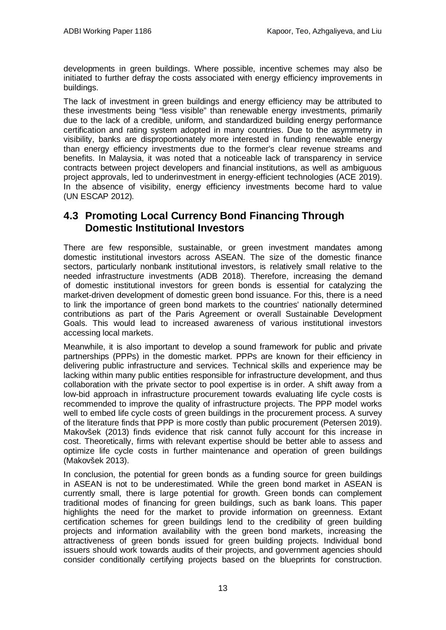developments in green buildings. Where possible, incentive schemes may also be initiated to further defray the costs associated with energy efficiency improvements in buildings.

The lack of investment in green buildings and energy efficiency may be attributed to these investments being "less visible" than renewable energy investments, primarily due to the lack of a credible, uniform, and standardized building energy performance certification and rating system adopted in many countries. Due to the asymmetry in visibility, banks are disproportionately more interested in funding renewable energy than energy efficiency investments due to the former's clear revenue streams and benefits. In Malaysia, it was noted that a noticeable lack of transparency in service contracts between project developers and financial institutions, as well as ambiguous project approvals, led to underinvestment in energy-efficient technologies (ACE 2019). In the absence of visibility, energy efficiency investments become hard to value (UN ESCAP 2012).

### <span id="page-16-0"></span>**4.3 Promoting Local Currency Bond Financing Through Domestic Institutional Investors**

There are few responsible, sustainable, or green investment mandates among domestic institutional investors across ASEAN. The size of the domestic finance sectors, particularly nonbank institutional investors, is relatively small relative to the needed infrastructure investments (ADB 2018). Therefore, increasing the demand of domestic institutional investors for green bonds is essential for catalyzing the market-driven development of domestic green bond issuance. For this, there is a need to link the importance of green bond markets to the countries' nationally determined contributions as part of the Paris Agreement or overall Sustainable Development Goals. This would lead to increased awareness of various institutional investors accessing local markets.

Meanwhile, it is also important to develop a sound framework for public and private partnerships (PPPs) in the domestic market. PPPs are known for their efficiency in delivering public infrastructure and services. Technical skills and experience may be lacking within many public entities responsible for infrastructure development, and thus collaboration with the private sector to pool expertise is in order. A shift away from a low-bid approach in infrastructure procurement towards evaluating life cycle costs is recommended to improve the quality of infrastructure projects. The PPP model works well to embed life cycle costs of green buildings in the procurement process. A survey of the literature finds that PPP is more costly than public procurement (Petersen 2019). Makovšek (2013) finds evidence that risk cannot fully account for this increase in cost. Theoretically, firms with relevant expertise should be better able to assess and optimize life cycle costs in further maintenance and operation of green buildings (Makovšek 2013).

In conclusion, the potential for green bonds as a funding source for green buildings in ASEAN is not to be underestimated. While the green bond market in ASEAN is currently small, there is large potential for growth. Green bonds can complement traditional modes of financing for green buildings, such as bank loans. This paper highlights the need for the market to provide information on greenness. Extant certification schemes for green buildings lend to the credibility of green building projects and information availability with the green bond markets, increasing the attractiveness of green bonds issued for green building projects. Individual bond issuers should work towards audits of their projects, and government agencies should consider conditionally certifying projects based on the blueprints for construction.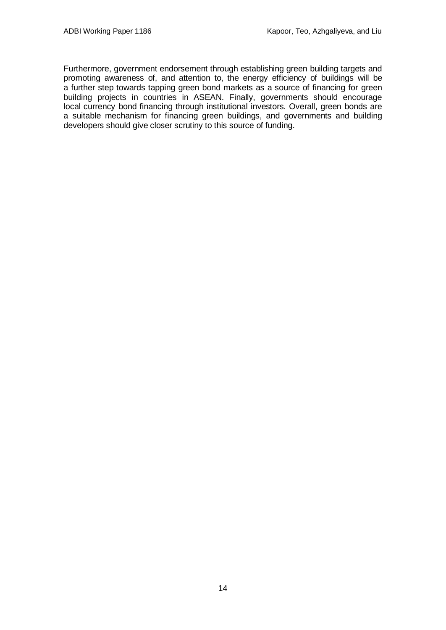Furthermore, government endorsement through establishing green building targets and promoting awareness of, and attention to, the energy efficiency of buildings will be a further step towards tapping green bond markets as a source of financing for green building projects in countries in ASEAN. Finally, governments should encourage local currency bond financing through institutional investors. Overall, green bonds are a suitable mechanism for financing green buildings, and governments and building developers should give closer scrutiny to this source of funding.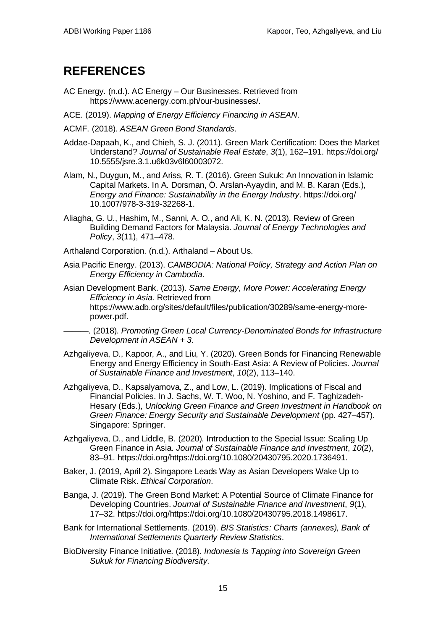## <span id="page-18-0"></span>**REFERENCES**

- AC Energy. (n.d.). AC Energy Our Businesses. Retrieved from https://www.acenergy.com.ph/our-businesses/.
- ACE. (2019). *Mapping of Energy Efficiency Financing in ASEAN*.

ACMF. (2018). *ASEAN Green Bond Standards*.

- Addae-Dapaah, K., and Chieh, S. J. (2011). Green Mark Certification: Does the Market Understand? *Journal of Sustainable Real Estate*, *3*(1), 162–191. https://doi.org/ 10.5555/jsre.3.1.u6k03v6l60003072.
- Alam, N., Duygun, M., and Ariss, R. T. (2016). Green Sukuk: An Innovation in Islamic Capital Markets. In A. Dorsman, Ö. Arslan-Ayaydin, and M. B. Karan (Eds.), *Energy and Finance: Sustainability in the Energy Industry*. https://doi.org/ 10.1007/978-3-319-32268-1.
- Aliagha, G. U., Hashim, M., Sanni, A. O., and Ali, K. N. (2013). Review of Green Building Demand Factors for Malaysia. *Journal of Energy Technologies and Policy*, *3*(11), 471–478.

Arthaland Corporation. (n.d.). Arthaland – About Us.

- Asia Pacific Energy. (2013). *CAMBODIA: National Policy, Strategy and Action Plan on Energy Efficiency in Cambodia*.
- Asian Development Bank. (2013). *Same Energy, More Power: Accelerating Energy Efficiency in Asia*. Retrieved from https://www.adb.org/sites/default/files/publication/30289/same-energy-morepower.pdf.
- ———. (2018). *Promoting Green Local Currency-Denominated Bonds for Infrastructure Development in ASEAN + 3*.
- Azhgaliyeva, D., Kapoor, A., and Liu, Y. (2020). Green Bonds for Financing Renewable Energy and Energy Efficiency in South-East Asia: A Review of Policies. *Journal of Sustainable Finance and Investment*, *10*(2), 113–140.
- Azhgaliyeva, D., Kapsalyamova, Z., and Low, L. (2019). Implications of Fiscal and Financial Policies. In J. Sachs, W. T. Woo, N. Yoshino, and F. Taghizadeh-Hesary (Eds.), *Unlocking Green Finance and Green Investment in Handbook on Green Finance: Energy Security and Sustainable Development* (pp. 427–457). Singapore: Springer.
- Azhgaliyeva, D., and Liddle, B. (2020). Introduction to the Special Issue: Scaling Up Green Finance in Asia. *Journal of Sustainable Finance and Investment*, *10*(2), 83–91. https://doi.org/https://doi.org/10.1080/20430795.2020.1736491.
- Baker, J. (2019, April 2). Singapore Leads Way as Asian Developers Wake Up to Climate Risk. *Ethical Corporation*.
- Banga, J. (2019). The Green Bond Market: A Potential Source of Climate Finance for Developing Countries. *Journal of Sustainable Finance and Investment*, *9*(1), 17–32. https://doi.org/https://doi.org/10.1080/20430795.2018.1498617.
- Bank for International Settlements. (2019). *BIS Statistics: Charts (annexes), Bank of International Settlements Quarterly Review Statistics*.
- BioDiversity Finance Initiative. (2018). *Indonesia Is Tapping into Sovereign Green Sukuk for Financing Biodiversity*.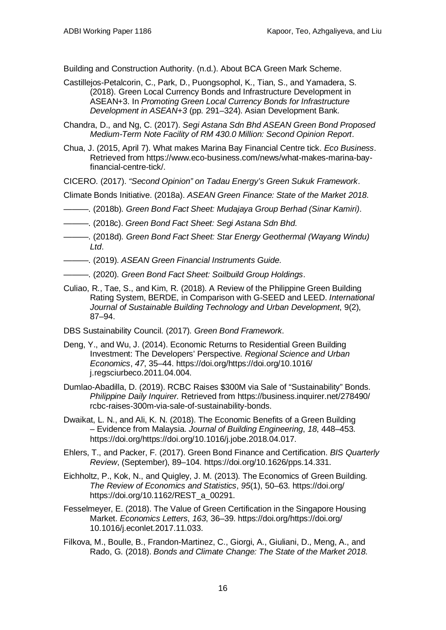Building and Construction Authority. (n.d.). About BCA Green Mark Scheme.

- Castillejos-Petalcorin, C., Park, D., Puongsophol, K., Tian, S., and Yamadera, S. (2018). Green Local Currency Bonds and Infrastructure Development in ASEAN+3. In *Promoting Green Local Currency Bonds for Infrastructure Development in ASEAN+3* (pp. 291–324). Asian Development Bank.
- Chandra, D., and Ng, C. (2017). *Segi Astana Sdn Bhd ASEAN Green Bond Proposed Medium-Term Note Facility of RM 430.0 Million: Second Opinion Report*.
- Chua, J. (2015, April 7). What makes Marina Bay Financial Centre tick. *Eco Business*. Retrieved from https://www.eco-business.com/news/what-makes-marina-bayfinancial-centre-tick/.
- CICERO. (2017). *"Second Opinion" on Tadau Energy's Green Sukuk Framework*.

Climate Bonds Initiative. (2018a). *ASEAN Green Finance: State of the Market 2018*.

- ———. (2018b). *Green Bond Fact Sheet: Mudajaya Group Berhad (Sinar Kamiri)*.
- ———. (2018c). *Green Bond Fact Sheet: Segi Astana Sdn Bhd*.
- ———. (2018d). *Green Bond Fact Sheet: Star Energy Geothermal (Wayang Windu) Ltd*.
- ———. (2019). *ASEAN Green Financial Instruments Guide*.
- ———. (2020). *Green Bond Fact Sheet: Soilbuild Group Holdings*.
- Culiao, R., Tae, S., and Kim, R. (2018). A Review of the Philippine Green Building Rating System, BERDE, in Comparison with G-SEED and LEED. *International Journal of Sustainable Building Technology and Urban Development*, 9(2), 87–94.
- DBS Sustainability Council. (2017). *Green Bond Framework*.
- Deng, Y., and Wu, J. (2014). Economic Returns to Residential Green Building Investment: The Developers' Perspective. *Regional Science and Urban Economics*, *47*, 35–44. https://doi.org/https://doi.org/10.1016/ j.regsciurbeco.2011.04.004.
- Dumlao-Abadilla, D. (2019). RCBC Raises \$300M via Sale of "Sustainability" Bonds. *Philippine Daily Inquirer*. Retrieved from https://business.inquirer.net/278490/ rcbc-raises-300m-via-sale-of-sustainability-bonds.
- Dwaikat, L. N., and Ali, K. N. (2018). The Economic Benefits of a Green Building – Evidence from Malaysia. *Journal of Building Engineering*, *18*, 448–453. https://doi.org/https://doi.org/10.1016/j.jobe.2018.04.017.
- Ehlers, T., and Packer, F. (2017). Green Bond Finance and Certification. *BIS Quarterly Review*, (September), 89–104. https://doi.org/10.1626/pps.14.331.
- Eichholtz, P., Kok, N., and Quigley, J. M. (2013). The Economics of Green Building. *The Review of Economics and Statistics*, *95*(1), 50–63. https://doi.org/ https://doi.org/10.1162/REST\_a\_00291.
- Fesselmeyer, E. (2018). The Value of Green Certification in the Singapore Housing Market. *Economics Letters*, *163*, 36–39. https://doi.org/https://doi.org/ 10.1016/j.econlet.2017.11.033.
- Filkova, M., Boulle, B., Frandon-Martinez, C., Giorgi, A., Giuliani, D., Meng, A., and Rado, G. (2018). *Bonds and Climate Change: The State of the Market 2018*.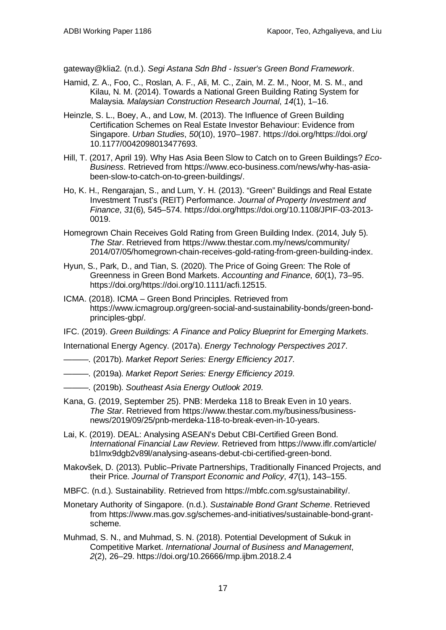gateway@klia2. (n.d.). *Segi Astana Sdn Bhd - Issuer's Green Bond Framework*.

- Hamid, Z. A., Foo, C., Roslan, A. F., Ali, M. C., Zain, M. Z. M., Noor, M. S. M., and Kilau, N. M. (2014). Towards a National Green Building Rating System for Malaysia. *Malaysian Construction Research Journal*, *14*(1), 1–16.
- Heinzle, S. L., Boey, A., and Low, M. (2013). The Influence of Green Building Certification Schemes on Real Estate Investor Behaviour: Evidence from Singapore. *Urban Studies*, *50*(10), 1970–1987. https://doi.org/https://doi.org/ 10.1177/0042098013477693.
- Hill, T. (2017, April 19). Why Has Asia Been Slow to Catch on to Green Buildings? *Eco-Business*. Retrieved from https://www.eco-business.com/news/why-has-asiabeen-slow-to-catch-on-to-green-buildings/.
- Ho, K. H., Rengarajan, S., and Lum, Y. H. (2013). "Green" Buildings and Real Estate Investment Trust's (REIT) Performance. *Journal of Property Investment and Finance*, *31*(6), 545–574. https://doi.org/https://doi.org/10.1108/JPIF-03-2013- 0019.
- Homegrown Chain Receives Gold Rating from Green Building Index. (2014, July 5). *The Star*. Retrieved from https://www.thestar.com.my/news/community/ 2014/07/05/homegrown-chain-receives-gold-rating-from-green-building-index.
- Hyun, S., Park, D., and Tian, S. (2020). The Price of Going Green: The Role of Greenness in Green Bond Markets. *Accounting and Finance*, *60*(1), 73–95. https://doi.org/https://doi.org/10.1111/acfi.12515.
- ICMA. (2018). ICMA Green Bond Principles. Retrieved from https://www.icmagroup.org/green-social-and-sustainability-bonds/green-bondprinciples-gbp/.
- IFC. (2019). *Green Buildings: A Finance and Policy Blueprint for Emerging Markets*.

International Energy Agency. (2017a). *Energy Technology Perspectives 2017*.

- ———. (2017b). *Market Report Series: Energy Efficiency 2017*.
- ———. (2019a). *Market Report Series: Energy Efficiency 2019*.
- ———. (2019b). *Southeast Asia Energy Outlook 2019*.
- Kana, G. (2019, September 25). PNB: Merdeka 118 to Break Even in 10 years. *The Star*. Retrieved from https://www.thestar.com.my/business/businessnews/2019/09/25/pnb-merdeka-118-to-break-even-in-10-years.
- Lai, K. (2019). DEAL: Analysing ASEAN's Debut CBI-Certified Green Bond. *International Financial Law Review*. Retrieved from https://www.iflr.com/article/ b1lmx9dgb2v89l/analysing-aseans-debut-cbi-certified-green-bond.
- Makovšek, D. (2013). Public–Private Partnerships, Traditionally Financed Projects, and their Price. *Journal of Transport Economic and Policy*, *47*(1), 143–155.
- MBFC. (n.d.). Sustainability. Retrieved from https://mbfc.com.sg/sustainability/.
- Monetary Authority of Singapore. (n.d.). *Sustainable Bond Grant Scheme*. Retrieved from https://www.mas.gov.sg/schemes-and-initiatives/sustainable-bond-grantscheme.
- Muhmad, S. N., and Muhmad, S. N. (2018). Potential Development of Sukuk in Competitive Market. *International Journal of Business and Management*, *2*(2), 26–29. https://doi.org/10.26666/rmp.ijbm.2018.2.4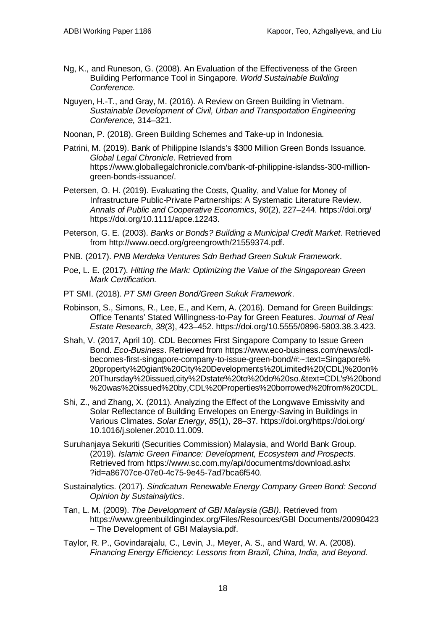- Ng, K., and Runeson, G. (2008). An Evaluation of the Effectiveness of the Green Building Performance Tool in Singapore. *World Sustainable Building Conference*.
- Nguyen, H.-T., and Gray, M. (2016). A Review on Green Building in Vietnam. *Sustainable Development of Civil, Urban and Transportation Engineering Conference*, 314–321.
- Noonan, P. (2018). Green Building Schemes and Take-up in Indonesia.
- Patrini, M. (2019). Bank of Philippine Islands's \$300 Million Green Bonds Issuance. *Global Legal Chronicle*. Retrieved from https://www.globallegalchronicle.com/bank-of-philippine-islandss-300-milliongreen-bonds-issuance/.
- Petersen, O. H. (2019). Evaluating the Costs, Quality, and Value for Money of Infrastructure Public-Private Partnerships: A Systematic Literature Review. *Annals of Public and Cooperative Economics*, *90*(2), 227–244. https://doi.org/ https://doi.org/10.1111/apce.12243.
- Peterson, G. E. (2003). *Banks or Bonds? Building a Municipal Credit Market*. Retrieved from http://www.oecd.org/greengrowth/21559374.pdf.
- PNB. (2017). *PNB Merdeka Ventures Sdn Berhad Green Sukuk Framework*.
- Poe, L. E. (2017). *Hitting the Mark: Optimizing the Value of the Singaporean Green Mark Certification*.
- PT SMI. (2018). *PT SMI Green Bond/Green Sukuk Framework*.
- Robinson, S., Simons, R., Lee, E., and Kern, A. (2016). Demand for Green Buildings: Office Tenants' Stated Willingness-to-Pay for Green Features. *Journal of Real Estate Research*, *38*(3), 423–452. https://doi.org/10.5555/0896-5803.38.3.423.
- Shah, V. (2017, April 10). CDL Becomes First Singapore Company to Issue Green Bond. *Eco-Business*. Retrieved from https://www.eco-business.com/news/cdlbecomes-first-singapore-company-to-issue-green-bond/#:~:text=Singapore% 20property%20giant%20City%20Developments%20Limited%20(CDL)%20on% 20Thursday%20issued,city%2Dstate%20to%20do%20so.&text=CDL's%20bond %20was%20issued%20by,CDL%20Properties%20borrowed%20from%20CDL.
- Shi, Z., and Zhang, X. (2011). Analyzing the Effect of the Longwave Emissivity and Solar Reflectance of Building Envelopes on Energy-Saving in Buildings in Various Climates. *Solar Energy*, *85*(1), 28–37. https://doi.org/https://doi.org/ 10.1016/j.solener.2010.11.009.
- Suruhanjaya Sekuriti (Securities Commission) Malaysia, and World Bank Group. (2019). *Islamic Green Finance: Development, Ecosystem and Prospects*. Retrieved from https://www.sc.com.my/api/documentms/download.ashx ?id=a86707ce-07e0-4c75-9e45-7ad7bca6f540.
- Sustainalytics. (2017). *Sindicatum Renewable Energy Company Green Bond: Second Opinion by Sustainalytics*.
- Tan, L. M. (2009). *The Development of GBI Malaysia (GBI)*. Retrieved from https://www.greenbuildingindex.org/Files/Resources/GBI Documents/20090423 – The Development of GBI Malaysia.pdf.
- Taylor, R. P., Govindarajalu, C., Levin, J., Meyer, A. S., and Ward, W. A. (2008). *Financing Energy Efficiency: Lessons from Brazil, China, India, and Beyond*.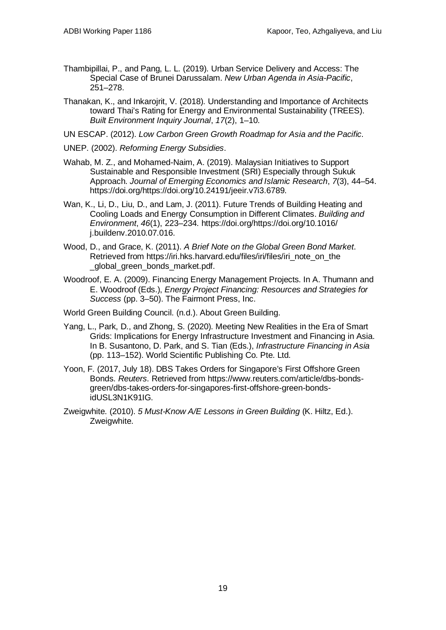- Thambipillai, P., and Pang, L. L. (2019). Urban Service Delivery and Access: The Special Case of Brunei Darussalam. *New Urban Agenda in Asia-Pacific*, 251–278.
- Thanakan, K., and Inkarojrit, V. (2018). Understanding and Importance of Architects toward Thai's Rating for Energy and Environmental Sustainability (TREES). *Built Environment Inquiry Journal*, *17*(2), 1–10.
- UN ESCAP. (2012). *Low Carbon Green Growth Roadmap for Asia and the Pacific*.
- UNEP. (2002). *Reforming Energy Subsidies*.
- Wahab, M. Z., and Mohamed-Naim, A. (2019). Malaysian Initiatives to Support Sustainable and Responsible Investment (SRI) Especially through Sukuk Approach. *Journal of Emerging Economics and Islamic Research*, *7*(3), 44–54. https://doi.org/https://doi.org/10.24191/jeeir.v7i3.6789.
- Wan, K., Li, D., Liu, D., and Lam, J. (2011). Future Trends of Building Heating and Cooling Loads and Energy Consumption in Different Climates. *Building and Environment*, *46*(1), 223–234. https://doi.org/https://doi.org/10.1016/ j.buildenv.2010.07.016.
- Wood, D., and Grace, K. (2011). *A Brief Note on the Global Green Bond Market*. Retrieved from https://iri.hks.harvard.edu/files/iri/files/iri\_note\_on\_the \_global\_green\_bonds\_market.pdf.
- Woodroof, E. A. (2009). Financing Energy Management Projects. In A. Thumann and E. Woodroof (Eds.), *Energy Project Financing: Resources and Strategies for Success* (pp. 3–50). The Fairmont Press, Inc.
- World Green Building Council. (n.d.). About Green Building.
- Yang, L., Park, D., and Zhong, S. (2020). Meeting New Realities in the Era of Smart Grids: Implications for Energy Infrastructure Investment and Financing in Asia. In B. Susantono, D. Park, and S. Tian (Eds.), *Infrastructure Financing in Asia* (pp. 113–152). World Scientific Publishing Co. Pte. Ltd.
- Yoon, F. (2017, July 18). DBS Takes Orders for Singapore's First Offshore Green Bonds. *Reuters*. Retrieved from https://www.reuters.com/article/dbs-bondsgreen/dbs-takes-orders-for-singapores-first-offshore-green-bondsidUSL3N1K91IG.
- Zweigwhite. (2010). *5 Must-Know A/E Lessons in Green Building* (K. Hiltz, Ed.). Zweigwhite.